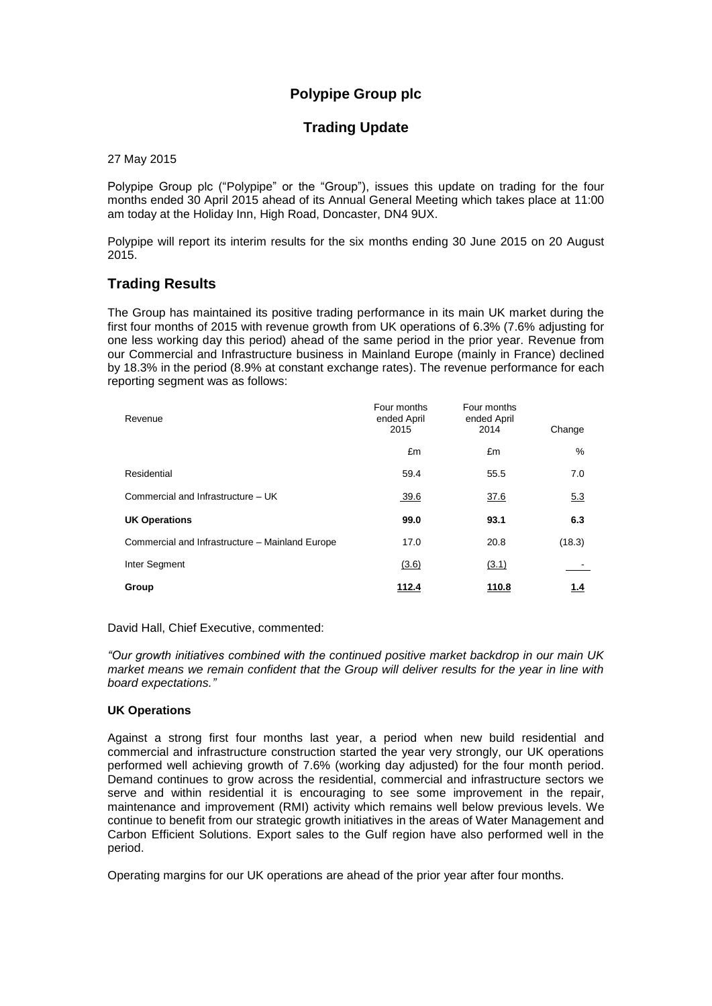# **Polypipe Group plc**

## **Trading Update**

27 May 2015

Polypipe Group plc ("Polypipe" or the "Group"), issues this update on trading for the four months ended 30 April 2015 ahead of its Annual General Meeting which takes place at 11:00 am today at the Holiday Inn, High Road, Doncaster, DN4 9UX.

Polypipe will report its interim results for the six months ending 30 June 2015 on 20 August 2015.

## **Trading Results**

The Group has maintained its positive trading performance in its main UK market during the first four months of 2015 with revenue growth from UK operations of 6.3% (7.6% adjusting for one less working day this period) ahead of the same period in the prior year. Revenue from our Commercial and Infrastructure business in Mainland Europe (mainly in France) declined by 18.3% in the period (8.9% at constant exchange rates). The revenue performance for each reporting segment was as follows:

| Revenue                                         | Four months<br>ended April<br>2015 | Four months<br>ended April<br>2014 | Change |
|-------------------------------------------------|------------------------------------|------------------------------------|--------|
|                                                 | £m                                 | £m                                 | $\%$   |
| Residential                                     | 59.4                               | 55.5                               | 7.0    |
| Commercial and Infrastructure - UK              | 39.6                               | 37.6                               | 5.3    |
| <b>UK Operations</b>                            | 99.0                               | 93.1                               | 6.3    |
| Commercial and Infrastructure - Mainland Europe | 17.0                               | 20.8                               | (18.3) |
| Inter Segment                                   | (3.6)                              | (3.1)                              |        |
| Group                                           | 112.4                              | 110.8                              | 1.4    |

David Hall, Chief Executive, commented:

*"Our growth initiatives combined with the continued positive market backdrop in our main UK market means we remain confident that the Group will deliver results for the year in line with board expectations."*

### **UK Operations**

Against a strong first four months last year, a period when new build residential and commercial and infrastructure construction started the year very strongly, our UK operations performed well achieving growth of 7.6% (working day adjusted) for the four month period. Demand continues to grow across the residential, commercial and infrastructure sectors we serve and within residential it is encouraging to see some improvement in the repair, maintenance and improvement (RMI) activity which remains well below previous levels. We continue to benefit from our strategic growth initiatives in the areas of Water Management and Carbon Efficient Solutions. Export sales to the Gulf region have also performed well in the period.

Operating margins for our UK operations are ahead of the prior year after four months.